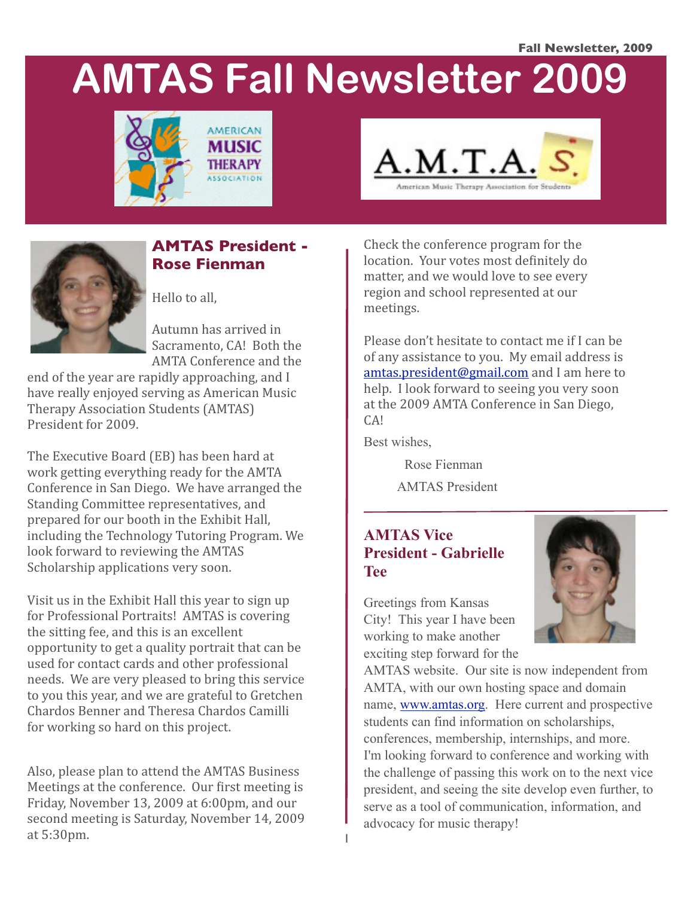#### **Fall Newsletter, 2009**

# **AMTAS Fall Newsletter 2009**







## **AMTAS President - Rose Fienman**

Hello
to
all,

Autumn
has
arrived
in Sacramento,
CA!

Both
the AMTA
Conference
and
the

end
of
the
year
are
rapidly
approaching,
and
I have
really
enjoyed
serving
as
American
Music Therapy
Association
Students
(AMTAS) President
for
2009.

The
Executive
Board
(EB)
has
been
hard
at work getting everything ready for the AMTA Conference
in
San
Diego.

We
have
arranged
the Standing
Committee
representatives,
and prepared
for
our
booth
in
the
Exhibit
Hall, including
the
Technology
Tutoring
Program.
We look forward to reviewing the AMTAS Scholarship
applications
very
soon.

Visit
us
in
the
Exhibit
Hall
this
year
to
sign
up for
Professional
Portraits!

AMTAS
is
covering the
sitting
fee,
and
this
is
an
excellent opportunity
to
get
a
quality
portrait
that
can
be used
for
contact
cards
and
other
professional needs.

We
are
very
pleased
to
bring
this
service to
you
this
year,
and
we
are
grateful
to
Gretchen Chardos
Benner
and
Theresa
Chardos
Camilli for
working
so
hard
on
this
project.

Also,
please
plan
to
attend
the
AMTAS
Business Meetings at the conference. Our first meeting is Friday,
November
13,
2009
at
6:00pm,
and
our second
meeting
is
Saturday,
November
14,
2009 at
5:30pm.

Check
the
conference
program
for
the location. Your votes most definitely do matter,
and
we
would
love
to
see
every region
and
school
represented
at
our meetings.

Please
don't
hesitate
to
contact
me
if
I
can
be of
any
assistance
to
you.

My
email
address
is amtas.president@gmail.com and I am here to help. I look forward to seeing you very soon at
the
2009
AMTA
Conference
in
San
Diego, CA!

Best wishes,

Rose Fienman

AMTAS President

### **AMTAS Vice President - Gabrielle Tee**

Greetings from Kansas City! This year I have been working to make another exciting step forward for the



AMTAS website. Our site is now independent from AMTA, with our own hosting space and domain name, [www.amtas.org.](http://www.amtas.org) Here current and prospective students can find information on scholarships, conferences, membership, internships, and more. I'm looking forward to conference and working with the challenge of passing this work on to the next vice president, and seeing the site develop even further, to serve as a tool of communication, information, and advocacy for music therapy!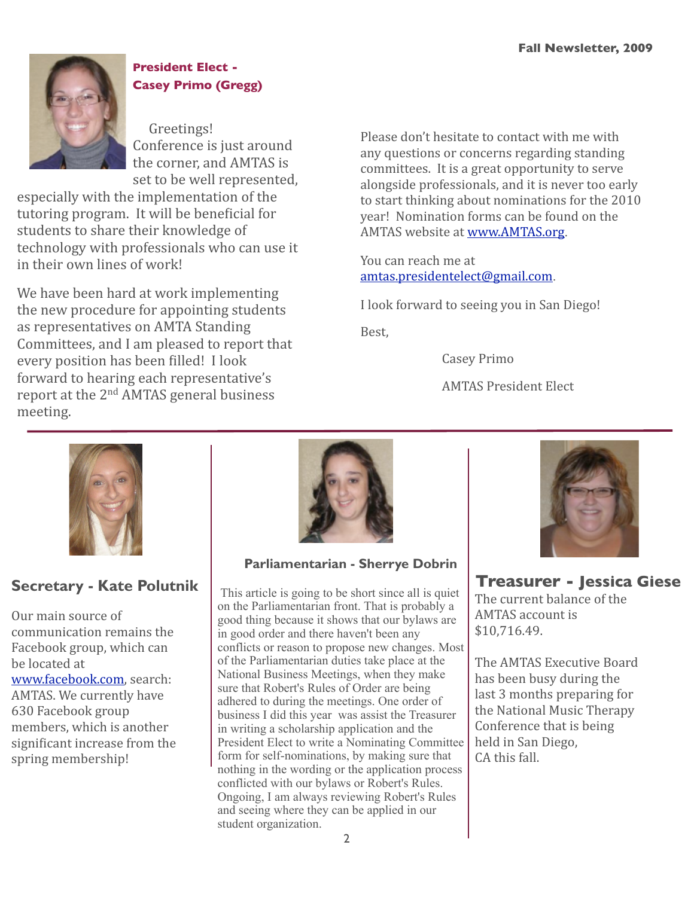

# **President Elect - Casey Primo (Gregg)**

Greetings! Conference is just around the
corner,
and
AMTAS
is set
to
be
well
represented,

especially
with
the
implementation
of
the tutoring program. It will be beneficial for students
to
share
their
knowledge
of technology
with
professionals
who
can
use
it in their own lines of work!

We
have
been
hard
at
work
implementing the
new
procedure
for
appointing
students as
representatives
on
AMTA
Standing Committees,
and
I
am
pleased
to
report
that every position has been filled! I look forward
to
hearing
each
representative's report at the 2<sup>nd</sup> AMTAS general business meeting.

Please
don't
hesitate
to
contact
with
me
with any
questions
or
concerns
regarding
standing committees.

It
is
a
great
opportunity
to
serve alongside
professionals,
and
it
is
never
too
early to
start
thinking
about
nominations
for
the
2010 year!

Nomination
forms
can
be
found
on
the AMTAS
website
at[www.AMTAS.org](http://www.AMTAS.org).

You
can
reach
me
at [amtas.presidentelect@gmail.com](mailto:amtas.presidentelect@gmail.com).

I
look
forward
to
seeing
you
in
San
Diego!

Best,

 Casey
Primo

 AMTAS
President
Elect



# **Secretary - Kate Polutnik**

Our
main
source
of communication
remains
the Facebook
group,
which
can be
located
at [www.facebook.com,](http://www.facebook.com)search: AMTAS.
We
currently
have 630
Facebook
group members,
which
is
another significant increase from the spring
membership!



**Parliamentarian - Sherrye Dobrin**

 This article is going to be short since all is quiet on the Parliamentarian front. That is probably a good thing because it shows that our bylaws are in good order and there haven't been any conflicts or reason to propose new changes. Most of the Parliamentarian duties take place at the National Business Meetings, when they make sure that Robert's Rules of Order are being adhered to during the meetings. One order of business I did this year was assist the Treasurer in writing a scholarship application and the President Elect to write a Nominating Committee form for self-nominations, by making sure that nothing in the wording or the application process conflicted with our bylaws or Robert's Rules. Ongoing, I am always reviewing Robert's Rules and seeing where they can be applied in our student organization.



**Treasurer - Jessica Giese** The
current
balance
of
the AMTAS
account
is \$10,716.49.

The
AMTAS
Executive
Board has
been
busy
during
the last
3
months
preparing
for the
National
Music
Therapy Conference
that
is
being held
in
San
Diego, CA
this
fall.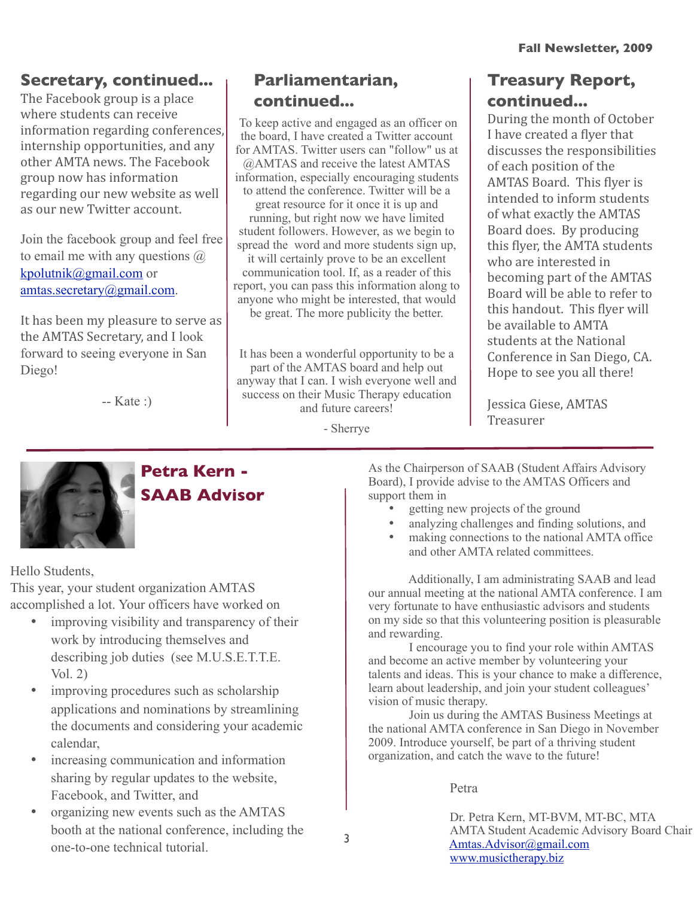# **Secretary, continued...**

The
Facebook
group
is
a
place where students can receive information
regarding
conferences, internship
opportunities,
and
any other
AMTA
news.
The
Facebook group
now
has
information regarding
our
new
website
as
well as
our
new
Twitter
account.

Join the facebook group and feel free to email me with any questions  $\omega$ [kpolutnik@gmail.com](mailto:kpolutnik@gmail.com) or [amtas.secretary@gmail.com.](mailto:amtas.secretary@gmail.com)

It
has
been
my
pleasure
to
serve
as the
AMTAS
Secretary,
and I look forward to seeing everyone in San Diego!

 $-Kate \cdot)$ 

# **Parliamentarian, continued...**

 To keep active and engaged as an officer on the board, I have created a Twitter account for AMTAS. Twitter users can "follow" us at @AMTAS and receive the latest AMTAS information, especially encouraging students to attend the conference. Twitter will be a great resource for it once it is up and running, but right now we have limited student followers. However, as we begin to spread the word and more students sign up. it will certainly prove to be an excellent communication tool. If, as a reader of this report, you can pass this information along to anyone who might be interested, that would be great. The more publicity the better.

It has been a wonderful opportunity to be a part of the AMTAS board and help out anyway that I can. I wish everyone well and success on their Music Therapy education and future careers!

- Sherrye

# **Treasury Report, continued...**

During
the
month
of
October I have created a flyer that discusses
the
responsibilities of
each
position
of
the AMTAS Board. This flyer is intended
to
inform
students of
what
exactly
the
AMTAS Board does. By producing this flyer, the AMTA students who
are
interested
in becoming
part
of
the
AMTAS Board
will
be
able
to
refer
to this handout. This flyer will be
available
to
AMTA students
at
the
National Conference
in
San
Diego,
CA. Hope
to
see
you
all
there!

Jessica
Giese,
AMTAS Treasurer



# **Petra Kern - SAAB Advisor**

Hello Students,

This year, your student organization AMTAS accomplished a lot. Your officers have worked on

- improving visibility and transparency of their work by introducing themselves and describing job duties (see M.U.S.E.T.T.E. Vol. 2)
- improving procedures such as scholarship applications and nominations by streamlining the documents and considering your academic calendar,
- increasing communication and information sharing by regular updates to the website, Facebook, and Twitter, and
- organizing new events such as the AMTAS booth at the national conference, including the one-to-one technical tutorial.

As the Chairperson of SAAB (Student Affairs Advisory Board), I provide advise to the AMTAS Officers and support them in

- getting new projects of the ground
- analyzing challenges and finding solutions, and
- making connections to the national AMTA office and other AMTA related committees.

 Additionally, I am administrating SAAB and lead our annual meeting at the national AMTA conference. I am very fortunate to have enthusiastic advisors and students on my side so that this volunteering position is pleasurable and rewarding.

 I encourage you to find your role within AMTAS and become an active member by volunteering your talents and ideas. This is your chance to make a difference, learn about leadership, and join your student colleagues' vision of music therapy.

 Join us during the AMTAS Business Meetings at the national AMTA conference in San Diego in November 2009. Introduce yourself, be part of a thriving student organization, and catch the wave to the future!

Petra

 Dr. Petra Kern, MT-BVM, MT-BC, MTA AMTA Student Academic Advisory Board Chair [Amtas.Advisor@gmail.com](mailto:Amtas.Advisor@gmail.com)  [www.musictherapy.biz](http://www.musictherapy.biz)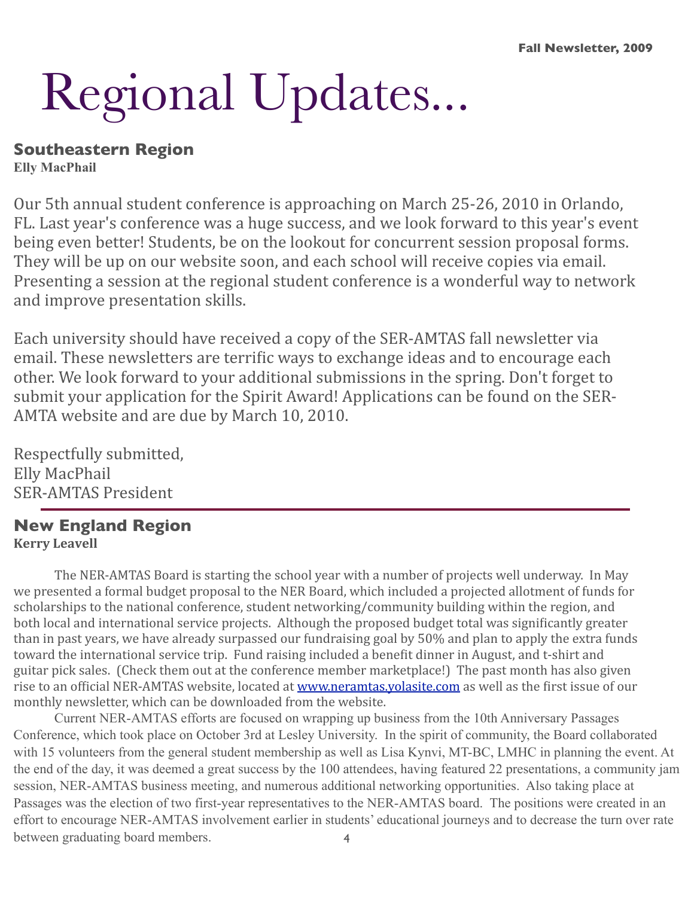# Regional Updates...

# **Southeastern Region**

**Elly MacPhail**

Our
5th
annual
student
conference
is
approaching
on
March
25‐26,
2010
in
Orlando, FL.
Last
year's
conference
was
a
huge
success,
and
we
look
forward
to
this
year's
event being
even
better!
Students,
be
on
the
lookout
for
concurrent
session
proposal
forms. They will be up on our website soon, and each school will receive copies via email. Presenting a session at the regional student conference is a wonderful way to network and
improve
presentation
skills.

Each
university
should
have
received
a
copy
of
the
SER‐AMTAS
fall
newsletter
via email. These newsletters are terrific ways to exchange ideas and to encourage each other.
We
look
forward
to
your
additional
submissions
in
the
spring.
Don't
forget
to submit your application for the Spirit Award! Applications can be found on the SER-AMTA
website
and
are
due
by
March
10,
2010.

Respectfully
submitted, Elly
MacPhail SER‐AMTAS
President

#### **New England Region Kerry
Leavell**

The NER-AMTAS Board is starting the school year with a number of projects well underway. In May we presented a formal budget proposal to the NER Board, which included a projected allotment of funds for scholarships to the national conference, student networking/community building within the region, and both local and international service projects. Although the proposed budget total was significantly greater than in past years, we have already surpassed our fundraising goal by 50% and plan to apply the extra funds toward the international service trip. Fund raising included a benefit dinner in August, and t-shirt and guitar pick sales. (Check them out at the conference member marketplace!) The past month has also given rise to an official NER-AMTAS website, located at www.neramtas.yolasite.com as well as the first issue of our monthly
newsletter,
which
can
be
downloaded
from
the
website.

4 Current NER-AMTAS efforts are focused on wrapping up business from the 10th Anniversary Passages Conference, which took place on October 3rd at Lesley University. In the spirit of community, the Board collaborated with 15 volunteers from the general student membership as well as Lisa Kynvi, MT-BC, LMHC in planning the event. At the end of the day, it was deemed a great success by the 100 attendees, having featured 22 presentations, a community jam session, NER-AMTAS business meeting, and numerous additional networking opportunities. Also taking place at Passages was the election of two first-year representatives to the NER-AMTAS board. The positions were created in an effort to encourage NER-AMTAS involvement earlier in students' educational journeys and to decrease the turn over rate between graduating board members.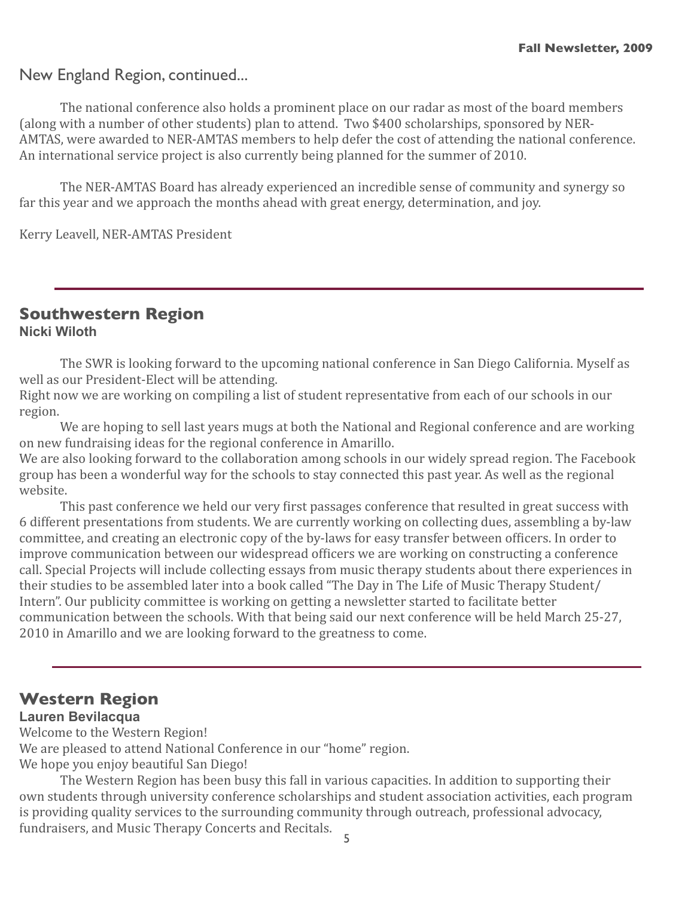#### New England Region, continued...

 The
national
conference
also
holds
a
prominent
place
on
our
radar
as
most
of
the
board
members (along
with
a
number
of
other
students)
plan
to
attend.

Two
\$400
scholarships,
sponsored
by
NER‐ AMTAS, were awarded to NER-AMTAS members to help defer the cost of attending the national conference. An
international
service
project
is
also
currently
being
planned
for
the
summer
of
2010.

The NER-AMTAS Board has already experienced an incredible sense of community and synergy so far this year and we approach the months ahead with great energy, determination, and joy.

Kerry
Leavell,
NER‐AMTAS
President

#### **Southwestern Region Nicki Wiloth**

The SWR is looking forward to the upcoming national conference in San Diego California. Myself as well
as
our
President‐Elect
will
be
attending.

Right now we are working on compiling a list of student representative from each of our schools in our region.

We are hoping to sell last years mugs at both the National and Regional conference and are working on
new
fundraising
ideas
for
the
regional
conference
in
Amarillo.

We are also looking forward to the collaboration among schools in our widely spread region. The Facebook group
has
been
a
wonderful
way
for
the
schools
to
stay
connected
this
past
year.
As
well
as
the
regional website.

This past conference we held our very first passages conference that resulted in great success with 6
different
presentations
from
students.
We
are
currently
working
on
collecting
dues,
assembling
a
by‐law committee, and creating an electronic copy of the by-laws for easy transfer between officers. In order to improve communication between our widespread officers we are working on constructing a conference call.
Special
Projects
will
include
collecting
essays
from
music
therapy
students
about
there
experiences
in their studies to be assembled later into a book called "The Day in The Life of Music Therapy Student/ Intern". Our publicity committee is working on getting a newsletter started to facilitate better communication
between
the
schools.
With
that
being
said
our
next
conference
will
be
held
March
25‐27, 2010
in
Amarillo
and
we
are
looking
forward
to
the
greatness
to
come.

#### **Western Region**

#### **Lauren Bevilacqua**

Welcome to the Western Region!

We are pleased to attend National Conference in our "home" region.

We
hope
you
enjoy
beautiful
San
Diego!

5 The
Western
Region
has
been
busy
this
fall
in
various
capacities.
In
addition
to
supporting
their own
students
through
university
conference
scholarships
and
student
association
activities,
each
program is
providing
quality
services
to
the
surrounding
community
through
outreach,
professional
advocacy, fundraisers,
and
Music
Therapy
Concerts
and
Recitals.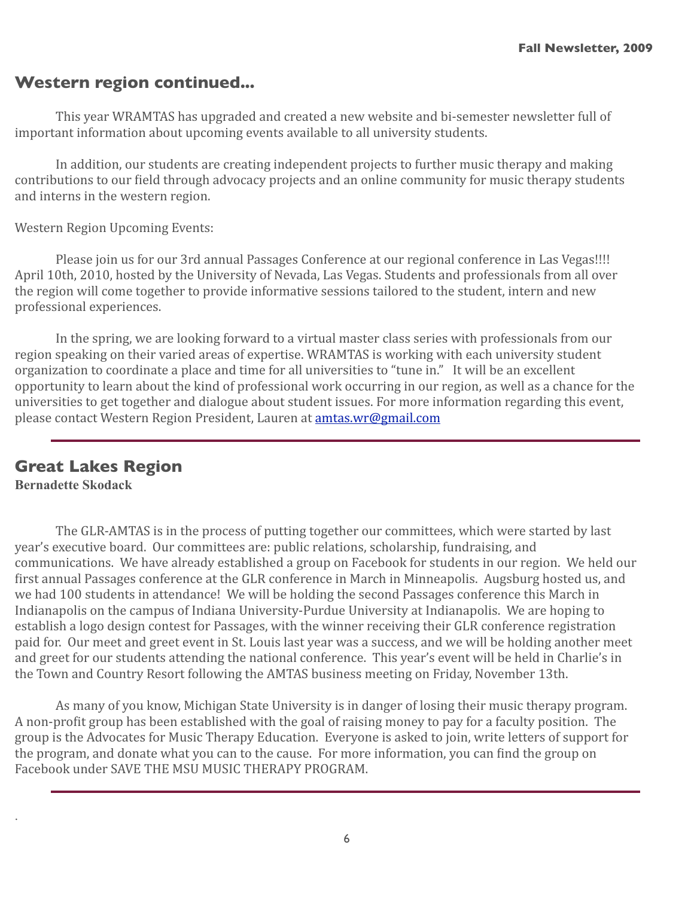# **Western region continued...**

This year WRAMTAS has upgraded and created a new website and bi-semester newsletter full of important
information
about
upcoming
events
available
to
all
university
students.

 In
addition,
our
students
are
creating
independent
projects
to
further
music
therapy
and
making contributions to our field through advocacy projects and an online community for music therapy students and
interns
in
the
western
region.

Western
Region
Upcoming
Events:

Please join us for our 3rd annual Passages Conference at our regional conference in Las Vegas!!!! April 10th, 2010, hosted by the University of Nevada, Las Vegas. Students and professionals from all over the
region
will
come
together
to
provide
informative
sessions
tailored
to
the
student,
intern
and
new professional
experiences.

In the spring, we are looking forward to a virtual master class series with professionals from our region speaking on their varied areas of expertise. WRAMTAS is working with each university student organization
to
coordinate
a
place
and
time
for
all
universities
to
"tune
in."

It
will
be
an
excellent opportunity to learn about the kind of professional work occurring in our region, as well as a chance for the universities to get together and dialogue about student issues. For more information regarding this event, please
contact
Western
Region
President,
Lauren
at[amtas.wr@gmail.com](mailto:amtas.wr@gmail.com)

# **Great Lakes Region**

**Bernadette Skodack**

.

The GLR-AMTAS is in the process of putting together our committees, which were started by last year's
executive
board.

Our
committees
are:
public
relations,
scholarship,
fundraising,
and communications.

We
have
already
established
a
group
on
Facebook
for
students
in
our
region.

We
held
our first annual Passages conference at the GLR conference in March in Minneapolis. Augsburg hosted us, and we had 100 students in attendance! We will be holding the second Passages conference this March in Indianapolis on the campus of Indiana University-Purdue University at Indianapolis. We are hoping to establish
a
logo
design
contest
for
Passages,
with
the
winner
receiving
their
GLR
conference
registration paid
for.

Our
meet
and
greet
event
in
St.
Louis
last
year
was
a
success,
and
we
will
be
holding
another
meet and greet for our students attending the national conference. This year's event will be held in Charlie's in the
Town
and
Country
Resort
following
the
AMTAS
business
meeting
on
Friday,
November
13th.

As many of you know, Michigan State University is in danger of losing their music therapy program. A non-profit group has been established with the goal of raising money to pay for a faculty position. The group
is
the
Advocates
for
Music
Therapy
Education.

Everyone
is
asked
to
join,
write
letters
of
support
for the program, and donate what you can to the cause. For more information, you can find the group on Facebook under SAVE THE MSU MUSIC THERAPY PROGRAM.